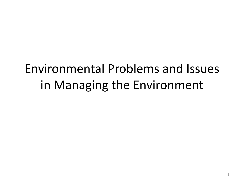# Environmental Problems and Issues in Managing the Environment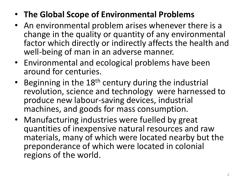- **The Global Scope of Environmental Problems**
- An environmental problem arises whenever there is a change in the quality or quantity of any environmental factor which directly or indirectly affects the health and well-being of man in an adverse manner.
- Environmental and ecological problems have been around for centuries.
- Beginning in the 18<sup>th</sup> century during the industrial revolution, science and technology were harnessed to produce new labour-saving devices, industrial machines, and goods for mass consumption.
- Manufacturing industries were fuelled by great quantities of inexpensive natural resources and raw materials, many of which were located nearby but the preponderance of which were located in colonial regions of the world.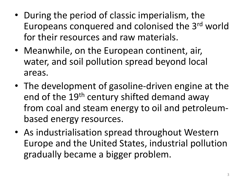- During the period of classic imperialism, the Europeans conquered and colonised the 3rd world for their resources and raw materials.
- Meanwhile, on the European continent, air, water, and soil pollution spread beyond local areas.
- The development of gasoline-driven engine at the end of the 19<sup>th</sup> century shifted demand away from coal and steam energy to oil and petroleumbased energy resources.
- As industrialisation spread throughout Western Europe and the United States, industrial pollution gradually became a bigger problem.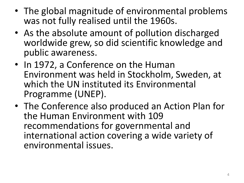- The global magnitude of environmental problems was not fully realised until the 1960s.
- As the absolute amount of pollution discharged worldwide grew, so did scientific knowledge and public awareness.
- In 1972, a Conference on the Human Environment was held in Stockholm, Sweden, at which the UN instituted its Environmental Programme (UNEP).
- The Conference also produced an Action Plan for the Human Environment with 109 recommendations for governmental and international action covering a wide variety of environmental issues.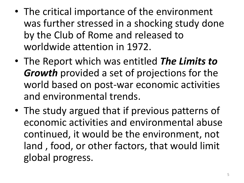- The critical importance of the environment was further stressed in a shocking study done by the Club of Rome and released to worldwide attention in 1972.
- The Report which was entitled *The Limits to Growth* provided a set of projections for the world based on post-war economic activities and environmental trends.
- The study argued that if previous patterns of economic activities and environmental abuse continued, it would be the environment, not land , food, or other factors, that would limit global progress.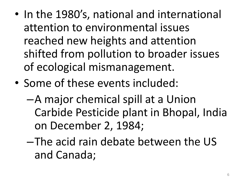- In the 1980's, national and international attention to environmental issues reached new heights and attention shifted from pollution to broader issues of ecological mismanagement.
- Some of these events included:
	- –A major chemical spill at a Union Carbide Pesticide plant in Bhopal, India on December 2, 1984;
	- –The acid rain debate between the US and Canada;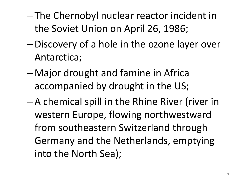- The Chernobyl nuclear reactor incident in the Soviet Union on April 26, 1986;
- –Discovery of a hole in the ozone layer over Antarctica;
- Major drought and famine in Africa accompanied by drought in the US;
- A chemical spill in the Rhine River (river in western Europe, flowing northwestward from southeastern Switzerland through Germany and the Netherlands, emptying into the North Sea);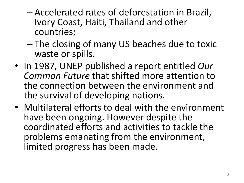- Accelerated rates of deforestation in Brazil, Ivory Coast, Haiti, Thailand and other countries;
- The closing of many US beaches due to toxic waste or spills.
- In 1987, UNEP published a report entitled *Our Common Future* that shifted more attention to the connection between the environment and the survival of developing nations.
- Multilateral efforts to deal with the environment have been ongoing. However despite the coordinated efforts and activities to tackle the problems emanating from the environment, limited progress has been made.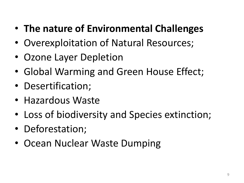# • **The nature of Environmental Challenges**

- Overexploitation of Natural Resources;
- Ozone Layer Depletion
- Global Warming and Green House Effect;
- Desertification;
- Hazardous Waste
- Loss of biodiversity and Species extinction;
- Deforestation;
- Ocean Nuclear Waste Dumping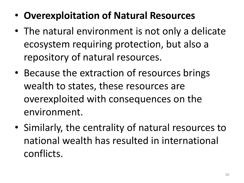- **Overexploitation of Natural Resources**
- The natural environment is not only a delicate ecosystem requiring protection, but also a repository of natural resources.
- Because the extraction of resources brings wealth to states, these resources are overexploited with consequences on the environment.
- Similarly, the centrality of natural resources to national wealth has resulted in international conflicts.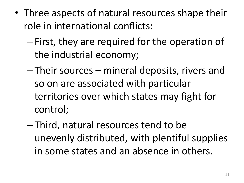- Three aspects of natural resources shape their role in international conflicts:
	- First, they are required for the operation of the industrial economy;
	- Their sources mineral deposits, rivers and so on are associated with particular territories over which states may fight for control;
	- Third, natural resources tend to be unevenly distributed, with plentiful supplies in some states and an absence in others.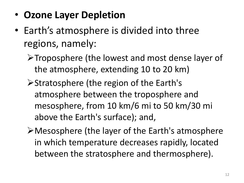- **Ozone Layer Depletion**
- Earth's atmosphere is divided into three regions, namely:
	- Troposphere (the lowest and most dense layer of the atmosphere, extending 10 to 20 km)
	- Stratosphere (the region of the Earth's atmosphere between the troposphere and mesosphere, from 10 km/6 mi to 50 km/30 mi above the Earth's surface); and,
	- Mesosphere (the layer of the Earth's atmosphere in which temperature decreases rapidly, located between the stratosphere and thermosphere).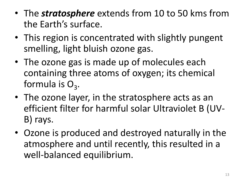- The *stratosphere* extends from 10 to 50 kms from the Earth's surface.
- This region is concentrated with slightly pungent smelling, light bluish ozone gas.
- The ozone gas is made up of molecules each containing three atoms of oxygen; its chemical formula is  $O_3$ .
- The ozone layer, in the stratosphere acts as an efficient filter for harmful solar Ultraviolet B (UV-B) rays.
- Ozone is produced and destroyed naturally in the atmosphere and until recently, this resulted in a well-balanced equilibrium.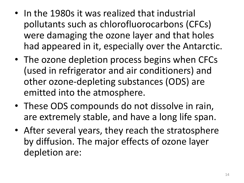- In the 1980s it was realized that industrial pollutants such as chlorofluorocarbons (CFCs) were damaging the ozone layer and that holes had appeared in it, especially over the Antarctic.
- The ozone depletion process begins when CFCs (used in refrigerator and air conditioners) and other ozone-depleting substances (ODS) are emitted into the atmosphere.
- These ODS compounds do not dissolve in rain, are extremely stable, and have a long life span.
- After several years, they reach the stratosphere by diffusion. The major effects of ozone layer depletion are: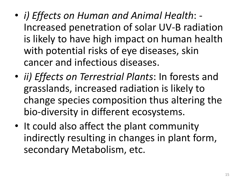- *i) Effects on Human and Animal Health*: Increased penetration of solar UV-B radiation is likely to have high impact on human health with potential risks of eye diseases, skin cancer and infectious diseases.
- *ii) Effects on Terrestrial Plants*: In forests and grasslands, increased radiation is likely to change species composition thus altering the bio-diversity in different ecosystems.
- It could also affect the plant community indirectly resulting in changes in plant form, secondary Metabolism, etc.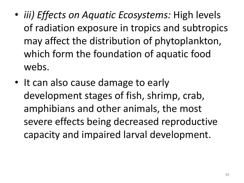- *iii) Effects on Aquatic Ecosystems:* High levels of radiation exposure in tropics and subtropics may affect the distribution of phytoplankton, which form the foundation of aquatic food webs.
- It can also cause damage to early development stages of fish, shrimp, crab, amphibians and other animals, the most severe effects being decreased reproductive capacity and impaired larval development.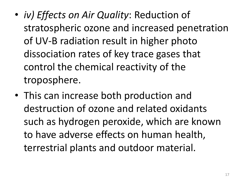- *iv) Effects on Air Quality*: Reduction of stratospheric ozone and increased penetration of UV-B radiation result in higher photo dissociation rates of key trace gases that control the chemical reactivity of the troposphere.
- This can increase both production and destruction of ozone and related oxidants such as hydrogen peroxide, which are known to have adverse effects on human health, terrestrial plants and outdoor material.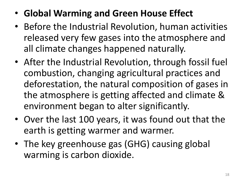- **Global Warming and Green House Effect**
- Before the Industrial Revolution, human activities released very few gases into the atmosphere and all climate changes happened naturally.
- After the Industrial Revolution, through fossil fuel combustion, changing agricultural practices and deforestation, the natural composition of gases in the atmosphere is getting affected and climate & environment began to alter significantly.
- Over the last 100 years, it was found out that the earth is getting warmer and warmer.
- The key greenhouse gas (GHG) causing global warming is carbon dioxide.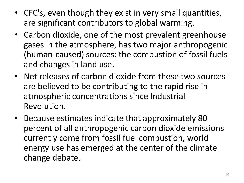- CFC's, even though they exist in very small quantities, are significant contributors to global warming.
- Carbon dioxide, one of the most prevalent greenhouse gases in the atmosphere, has two major anthropogenic (human-caused) sources: the combustion of fossil fuels and changes in land use.
- Net releases of carbon dioxide from these two sources are believed to be contributing to the rapid rise in atmospheric concentrations since Industrial Revolution.
- Because estimates indicate that approximately 80 percent of all anthropogenic carbon dioxide emissions currently come from fossil fuel combustion, world energy use has emerged at the center of the climate change debate.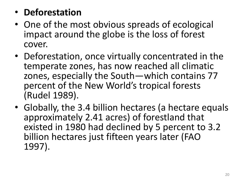### • **Deforestation**

- One of the most obvious spreads of ecological impact around the globe is the loss of forest cover.
- Deforestation, once virtually concentrated in the temperate zones, has now reached all climatic zones, especially the South—which contains 77 percent of the New World's tropical forests (Rudel 1989).
- Globally, the 3.4 billion hectares (a hectare equals approximately 2.41 acres) of forestland that existed in 1980 had declined by 5 percent to 3.2 billion hectares just fifteen years later (FAO 1997).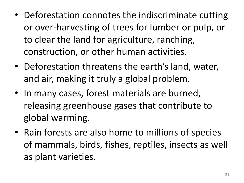- Deforestation connotes the indiscriminate cutting or over-harvesting of trees for lumber or pulp, or to clear the land for agriculture, ranching, construction, or other human activities.
- Deforestation threatens the earth's land, water, and air, making it truly a global problem.
- In many cases, forest materials are burned, releasing greenhouse gases that contribute to global warming.
- Rain forests are also home to millions of species of mammals, birds, fishes, reptiles, insects as well as plant varieties.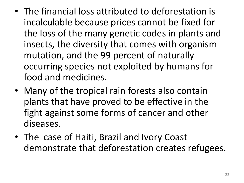- The financial loss attributed to deforestation is incalculable because prices cannot be fixed for the loss of the many genetic codes in plants and insects, the diversity that comes with organism mutation, and the 99 percent of naturally occurring species not exploited by humans for food and medicines.
- Many of the tropical rain forests also contain plants that have proved to be effective in the fight against some forms of cancer and other diseases.
- The case of Haiti, Brazil and Ivory Coast demonstrate that deforestation creates refugees.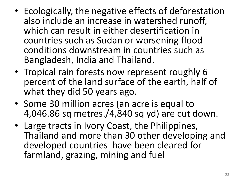- Ecologically, the negative effects of deforestation also include an increase in watershed runoff, which can result in either desertification in countries such as Sudan or worsening flood conditions downstream in countries such as Bangladesh, India and Thailand.
- Tropical rain forests now represent roughly 6 percent of the land surface of the earth, half of what they did 50 years ago.
- Some 30 million acres (an acre is equal to 4,046.86 sq metres./4,840 sq yd) are cut down.
- Large tracts in Ivory Coast, the Philippines, Thailand and more than 30 other developing and developed countries have been cleared for farmland, grazing, mining and fuel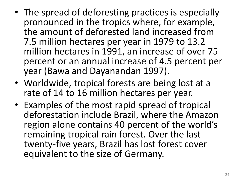- The spread of deforesting practices is especially pronounced in the tropics where, for example, the amount of deforested land increased from 7.5 million hectares per year in 1979 to 13.2 million hectares in 1991, an increase of over 75 percent or an annual increase of 4.5 percent per year (Bawa and Dayanandan 1997).
- Worldwide, tropical forests are being lost at a rate of 14 to 16 million hectares per year.
- Examples of the most rapid spread of tropical deforestation include Brazil, where the Amazon region alone contains 40 percent of the world's remaining tropical rain forest. Over the last twenty-five years, Brazil has lost forest cover equivalent to the size of Germany.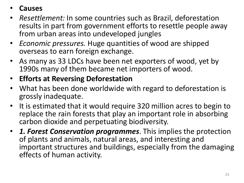#### • **Causes**

- *Resettlement:* In some countries such as Brazil, deforestation results in part from government efforts to resettle people away from urban areas into undeveloped jungles
- *Economic pressures.* Huge quantities of wood are shipped overseas to earn foreign exchange.
- As many as 33 LDCs have been net exporters of wood, yet by 1990s many of them became net importers of wood.
- **Efforts at Reversing Deforestation**
- What has been done worldwide with regard to deforestation is grossly inadequate.
- It is estimated that it would require 320 million acres to begin to replace the rain forests that play an important role in absorbing carbon dioxide and perpetuating biodiversity.
- *1. Forest Conservation programmes*. This implies the protection of plants and animals, natural areas, and interesting and important structures and buildings, especially from the damaging effects of human activity.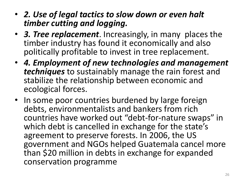- *2. Use of legal tactics to slow down or even halt timber cutting and logging.*
- *3. Tree replacement*. Increasingly, in many places the timber industry has found it economically and also politically profitable to invest in tree replacement.
- *4. Employment of new technologies and management techniques* to sustainably manage the rain forest and stabilize the relationship between economic and ecological forces.
- In some poor countries burdened by large foreign debts, environmentalists and bankers from rich countries have worked out "debt-for-nature swaps" in which debt is cancelled in exchange for the state's agreement to preserve forests. In 2006, the US government and NGOs helped Guatemala cancel more than \$20 million in debts in exchange for expanded conservation programme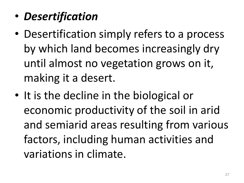- *Desertification*
- Desertification simply refers to a process by which land becomes increasingly dry until almost no vegetation grows on it, making it a desert.
- It is the decline in the biological or economic productivity of the soil in arid and semiarid areas resulting from various factors, including human activities and variations in climate.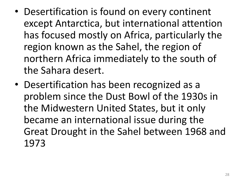- Desertification is found on every continent except Antarctica, but international attention has focused mostly on Africa, particularly the region known as the Sahel, the region of northern Africa immediately to the south of the Sahara desert.
- Desertification has been recognized as a problem since the Dust Bowl of the 1930s in the Midwestern United States, but it only became an international issue during the Great Drought in the Sahel between 1968 and 1973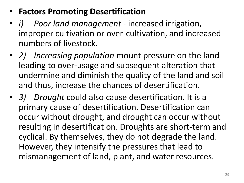- **Factors Promoting Desertification**
- *i) Poor land management*  increased irrigation, improper cultivation or over-cultivation, and increased numbers of livestock.
- *2) Increasing population* mount pressure on the land leading to over-usage and subsequent alteration that undermine and diminish the quality of the land and soil and thus, increase the chances of desertification.
- *3) Drought* could also cause desertification. It is a primary cause of desertification. Desertification can occur without drought, and drought can occur without resulting in desertification. Droughts are short-term and cyclical. By themselves, they do not degrade the land. However, they intensify the pressures that lead to mismanagement of land, plant, and water resources.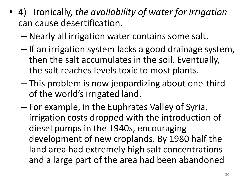- 4) Ironically, *the availability of water for irrigation*  can cause desertification.
	- Nearly all irrigation water contains some salt.
	- If an irrigation system lacks a good drainage system, then the salt accumulates in the soil. Eventually, the salt reaches levels toxic to most plants.
	- This problem is now jeopardizing about one-third of the world's irrigated land.
	- For example, in the Euphrates Valley of Syria, irrigation costs dropped with the introduction of diesel pumps in the 1940s, encouraging development of new croplands. By 1980 half the land area had extremely high salt concentrations and a large part of the area had been abandoned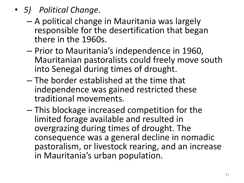- *5) Political Change*.
	- A political change in Mauritania was largely responsible for the desertification that began there in the 1960s.
	- Prior to Mauritania's independence in 1960, Mauritanian pastoralists could freely move south into Senegal during times of drought.
	- The border established at the time that independence was gained restricted these traditional movements.
	- This blockage increased competition for the limited forage available and resulted in overgrazing during times of drought. The consequence was a general decline in nomadic pastoralism, or livestock rearing, and an increase in Mauritania's urban population.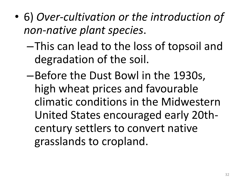- 6) *Over-cultivation or the introduction of non-native plant species*.
	- –This can lead to the loss of topsoil and degradation of the soil.
	- –Before the Dust Bowl in the 1930s, high wheat prices and favourable climatic conditions in the Midwestern United States encouraged early 20thcentury settlers to convert native grasslands to cropland.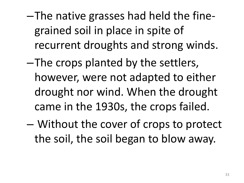- –The native grasses had held the finegrained soil in place in spite of recurrent droughts and strong winds.
- –The crops planted by the settlers, however, were not adapted to either drought nor wind. When the drought came in the 1930s, the crops failed.
- Without the cover of crops to protect the soil, the soil began to blow away.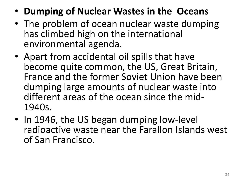- **Dumping of Nuclear Wastes in the Oceans**
- The problem of ocean nuclear waste dumping has climbed high on the international environmental agenda.
- Apart from accidental oil spills that have become quite common, the US, Great Britain, France and the former Soviet Union have been dumping large amounts of nuclear waste into different areas of the ocean since the mid-1940s.
- In 1946, the US began dumping low-level radioactive waste near the Farallon Islands west of San Francisco.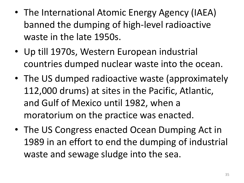- The International Atomic Energy Agency (IAEA) banned the dumping of high-level radioactive waste in the late 1950s.
- Up till 1970s, Western European industrial countries dumped nuclear waste into the ocean.
- The US dumped radioactive waste (approximately 112,000 drums) at sites in the Pacific, Atlantic, and Gulf of Mexico until 1982, when a moratorium on the practice was enacted.
- The US Congress enacted Ocean Dumping Act in 1989 in an effort to end the dumping of industrial waste and sewage sludge into the sea.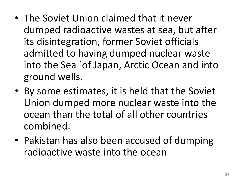- The Soviet Union claimed that it never dumped radioactive wastes at sea, but after its disintegration, former Soviet officials admitted to having dumped nuclear waste into the Sea `of Japan, Arctic Ocean and into ground wells.
- By some estimates, it is held that the Soviet Union dumped more nuclear waste into the ocean than the total of all other countries combined.
- Pakistan has also been accused of dumping radioactive waste into the ocean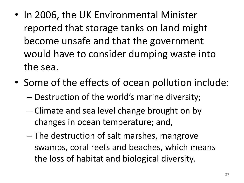- In 2006, the UK Environmental Minister reported that storage tanks on land might become unsafe and that the government would have to consider dumping waste into the sea.
- Some of the effects of ocean pollution include:
	- Destruction of the world's marine diversity;
	- Climate and sea level change brought on by changes in ocean temperature; and,
	- The destruction of salt marshes, mangrove swamps, coral reefs and beaches, which means the loss of habitat and biological diversity.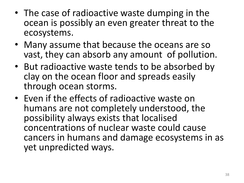- The case of radioactive waste dumping in the ocean is possibly an even greater threat to the ecosystems.
- Many assume that because the oceans are so vast, they can absorb any amount of pollution.
- But radioactive waste tends to be absorbed by clay on the ocean floor and spreads easily through ocean storms.
- Even if the effects of radioactive waste on humans are not completely understood, the possibility always exists that localised concentrations of nuclear waste could cause cancers in humans and damage ecosystems in as yet unpredicted ways.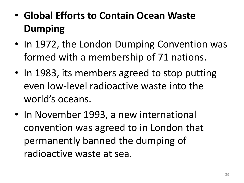- **Global Efforts to Contain Ocean Waste Dumping**
- In 1972, the London Dumping Convention was formed with a membership of 71 nations.
- In 1983, its members agreed to stop putting even low-level radioactive waste into the world's oceans.
- In November 1993, a new international convention was agreed to in London that permanently banned the dumping of radioactive waste at sea.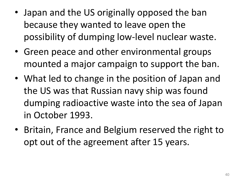- Japan and the US originally opposed the ban because they wanted to leave open the possibility of dumping low-level nuclear waste.
- Green peace and other environmental groups mounted a major campaign to support the ban.
- What led to change in the position of Japan and the US was that Russian navy ship was found dumping radioactive waste into the sea of Japan in October 1993.
- Britain, France and Belgium reserved the right to opt out of the agreement after 15 years.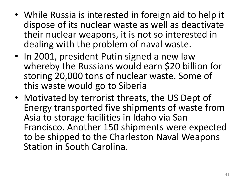- While Russia is interested in foreign aid to help it dispose of its nuclear waste as well as deactivate their nuclear weapons, it is not so interested in dealing with the problem of naval waste.
- In 2001, president Putin signed a new law whereby the Russians would earn \$20 billion for storing 20,000 tons of nuclear waste. Some of this waste would go to Siberia
- Motivated by terrorist threats, the US Dept of Energy transported five shipments of waste from Asia to storage facilities in Idaho via San Francisco. Another 150 shipments were expected to be shipped to the Charleston Naval Weapons Station in South Carolina.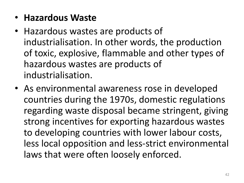- **Hazardous Waste**
- Hazardous wastes are products of industrialisation. In other words, the production of toxic, explosive, flammable and other types of hazardous wastes are products of industrialisation.
- As environmental awareness rose in developed countries during the 1970s, domestic regulations regarding waste disposal became stringent, giving strong incentives for exporting hazardous wastes to developing countries with lower labour costs, less local opposition and less-strict environmental laws that were often loosely enforced.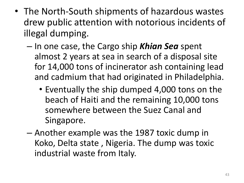- The North-South shipments of hazardous wastes drew public attention with notorious incidents of illegal dumping.
	- In one case, the Cargo ship *Khian Sea* spent almost 2 years at sea in search of a disposal site for 14,000 tons of incinerator ash containing lead and cadmium that had originated in Philadelphia.
		- Eventually the ship dumped 4,000 tons on the beach of Haiti and the remaining 10,000 tons somewhere between the Suez Canal and Singapore.
	- Another example was the 1987 toxic dump in Koko, Delta state , Nigeria. The dump was toxic industrial waste from Italy.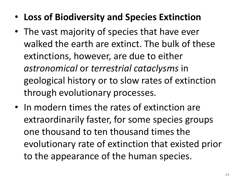- **Loss of Biodiversity and Species Extinction**
- The vast majority of species that have ever walked the earth are extinct. The bulk of these extinctions, however, are due to either *astronomical* or *terrestrial cataclysms* in geological history or to slow rates of extinction through evolutionary processes.
- In modern times the rates of extinction are extraordinarily faster, for some species groups one thousand to ten thousand times the evolutionary rate of extinction that existed prior to the appearance of the human species.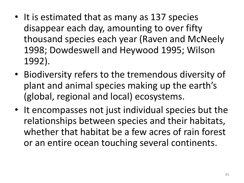- It is estimated that as many as 137 species disappear each day, amounting to over fifty thousand species each year (Raven and McNeely 1998; Dowdeswell and Heywood 1995; Wilson 1992).
- Biodiversity refers to the tremendous diversity of plant and animal species making up the earth's (global, regional and local) ecosystems.
- It encompasses not just individual species but the relationships between species and their habitats, whether that habitat be a few acres of rain forest or an entire ocean touching several continents.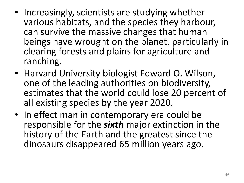- Increasingly, scientists are studying whether various habitats, and the species they harbour, can survive the massive changes that human beings have wrought on the planet, particularly in clearing forests and plains for agriculture and ranching.
- Harvard University biologist Edward O. Wilson, one of the leading authorities on biodiversity, estimates that the world could lose 20 percent of all existing species by the year 2020.
- In effect man in contemporary era could be responsible for the *sixth* major extinction in the history of the Earth and the greatest since the dinosaurs disappeared 65 million years ago.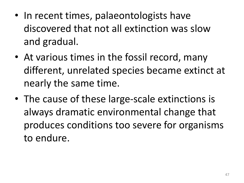- In recent times, palaeontologists have discovered that not all extinction was slow and gradual.
- At various times in the fossil record, many different, unrelated species became extinct at nearly the same time.
- The cause of these large-scale extinctions is always dramatic environmental change that produces conditions too severe for organisms to endure.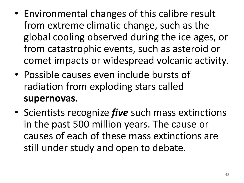- Environmental changes of this calibre result from extreme climatic change, such as the global cooling observed during the ice ages, or from catastrophic events, such as asteroid or comet impacts or widespread volcanic activity.
- Possible causes even include bursts of radiation from exploding stars called **supernovas**.
- Scientists recognize *five* such mass extinctions in the past 500 million years. The cause or causes of each of these mass extinctions are still under study and open to debate.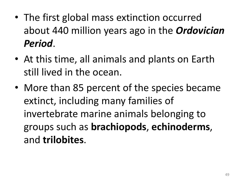- The first global mass extinction occurred about 440 million years ago in the *Ordovician Period*.
- At this time, all animals and plants on Earth still lived in the ocean.
- More than 85 percent of the species became extinct, including many families of invertebrate marine animals belonging to groups such as **brachiopods**, **echinoderms**, and **trilobites**.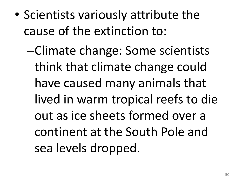- Scientists variously attribute the cause of the extinction to:
	- –Climate change: Some scientists think that climate change could have caused many animals that lived in warm tropical reefs to die out as ice sheets formed over a continent at the South Pole and sea levels dropped.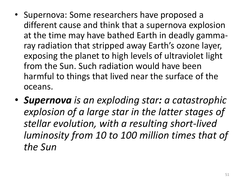- Supernova: Some researchers have proposed a different cause and think that a supernova explosion at the time may have bathed Earth in deadly gammaray radiation that stripped away Earth's ozone layer, exposing the planet to high levels of ultraviolet light from the Sun. Such radiation would have been harmful to things that lived near the surface of the oceans.
- *Supernova is an exploding star: a catastrophic explosion of a large star in the latter stages of stellar evolution, with a resulting short-lived luminosity from 10 to 100 million times that of the Sun*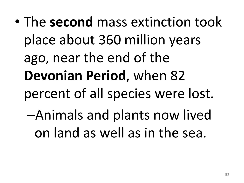• The **second** mass extinction took place about 360 million years ago, near the end of the **Devonian Period**, when 82 percent of all species were lost. –Animals and plants now lived on land as well as in the sea.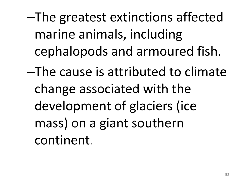–The greatest extinctions affected marine animals, including cephalopods and armoured fish.

–The cause is attributed to climate change associated with the development of glaciers (ice mass) on a giant southern continent.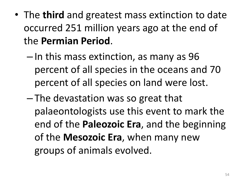- The **third** and greatest mass extinction to date occurred 251 million years ago at the end of the **Permian Period**.
	- In this mass extinction, as many as 96 percent of all species in the oceans and 70 percent of all species on land were lost.
	- The devastation was so great that palaeontologists use this event to mark the end of the **Paleozoic Era**, and the beginning of the **Mesozoic Era**, when many new groups of animals evolved.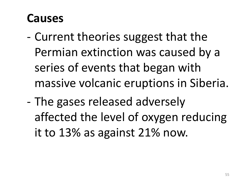# **Causes**

- Current theories suggest that the Permian extinction was caused by a series of events that began with massive volcanic eruptions in Siberia.
- The gases released adversely affected the level of oxygen reducing it to 13% as against 21% now.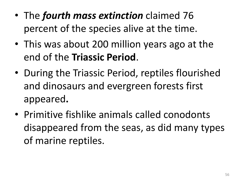- The *fourth mass extinction* claimed 76 percent of the species alive at the time.
- This was about 200 million years ago at the end of the **Triassic Period**.
- During the Triassic Period, reptiles flourished and dinosaurs and evergreen forests first appeared**.**
- Primitive fishlike animals called conodonts disappeared from the seas, as did many types of marine reptiles.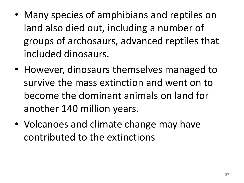- Many species of amphibians and reptiles on land also died out, including a number of groups of archosaurs, advanced reptiles that included dinosaurs.
- However, dinosaurs themselves managed to survive the mass extinction and went on to become the dominant animals on land for another 140 million years.
- Volcanoes and climate change may have contributed to the extinctions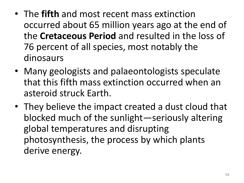- The **fifth** and most recent mass extinction occurred about 65 million years ago at the end of the **Cretaceous Period** and resulted in the loss of 76 percent of all species, most notably the dinosaurs
- Many geologists and palaeontologists speculate that this fifth mass extinction occurred when an asteroid struck Earth.
- They believe the impact created a dust cloud that blocked much of the sunlight—seriously altering global temperatures and disrupting photosynthesis, the process by which plants derive energy.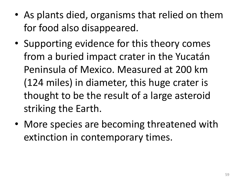- As plants died, organisms that relied on them for food also disappeared.
- Supporting evidence for this theory comes from a buried impact crater in the Yucatán Peninsula of Mexico. Measured at 200 km (124 miles) in diameter, this huge crater is thought to be the result of a large asteroid striking the Earth.
- More species are becoming threatened with extinction in contemporary times.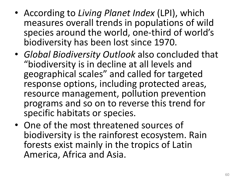- According to *Living Planet Index* (LPI), which measures overall trends in populations of wild species around the world, one-third of world's biodiversity has been lost since 1970.
- *Global Biodiversity Outlook* also concluded that "biodiversity is in decline at all levels and geographical scales" and called for targeted response options, including protected areas, resource management, pollution prevention programs and so on to reverse this trend for specific habitats or species.
- One of the most threatened sources of biodiversity is the rainforest ecosystem. Rain forests exist mainly in the tropics of Latin America, Africa and Asia.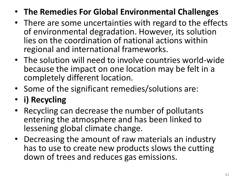- **The Remedies For Global Environmental Challenges**
- There are some uncertainties with regard to the effects of environmental degradation. However, its solution lies on the coordination of national actions within regional and international frameworks.
- The solution will need to involve countries world-wide because the impact on one location may be felt in a completely different location.
- Some of the significant remedies/solutions are:
- **i) Recycling**
- Recycling can decrease the number of pollutants entering the atmosphere and has been linked to lessening global climate change.
- Decreasing the amount of raw materials an industry has to use to create new products slows the cutting down of trees and reduces gas emissions.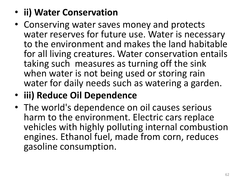## • **ii) Water Conservation**

- Conserving water saves money and protects water reserves for future use. Water is necessary to the environment and makes the land habitable for all living creatures. Water conservation entails taking such measures as turning off the sink when water is not being used or storing rain water for daily needs such as watering a garden.
- **iii) Reduce Oil Dependence**
- The world's dependence on oil causes serious harm to the environment. Electric cars replace vehicles with highly polluting internal combustion engines. Ethanol fuel, made from corn, reduces gasoline consumption.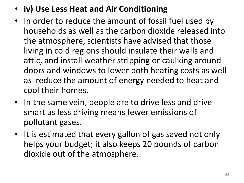- **iv) Use Less Heat and Air Conditioning**
- In order to reduce the amount of fossil fuel used by households as well as the carbon dioxide released into the atmosphere, scientists have advised that those living in cold regions should insulate their walls and attic, and install weather stripping or caulking around doors and windows to lower both heating costs as well as reduce the amount of energy needed to heat and cool their homes.
- In the same vein, people are to drive less and drive smart as less driving means fewer emissions of pollutant gases.
- It is estimated that every gallon of gas saved not only helps your budget; it also keeps 20 pounds of carbon dioxide out of the atmosphere.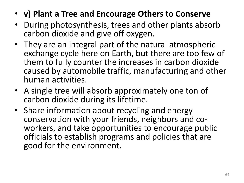- **v) Plant a Tree and Encourage Others to Conserve**
- During photosynthesis, trees and other plants absorb carbon dioxide and give off oxygen.
- They are an integral part of the natural atmospheric exchange cycle here on Earth, but there are too few of them to fully counter the increases in carbon dioxide caused by automobile traffic, manufacturing and other human activities.
- A single tree will absorb approximately one ton of carbon dioxide during its lifetime.
- Share information about recycling and energy conservation with your friends, neighbors and coworkers, and take opportunities to encourage public officials to establish programs and policies that are good for the environment.